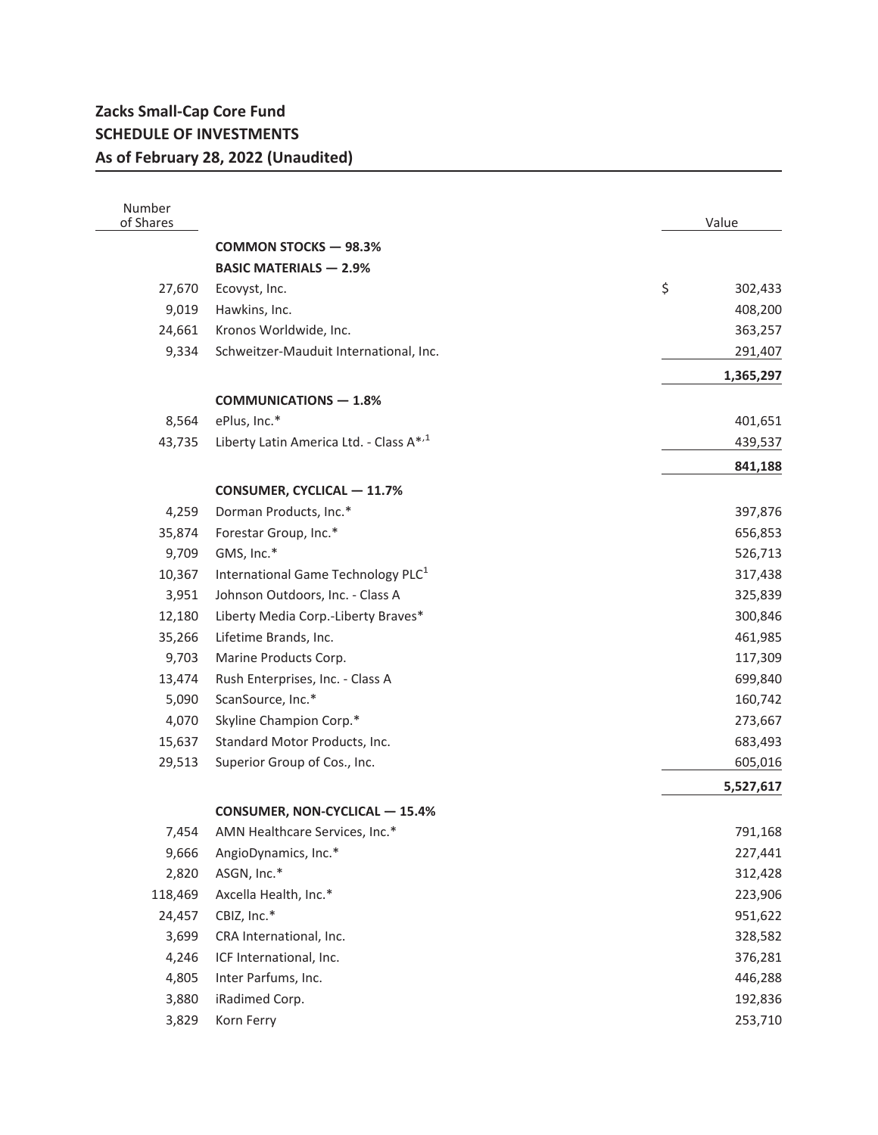## **Zacks Small-Cap Core Fund SCHEDULE OF INVESTMENTS As of February 28, 2022 (Unaudited)**

| Number<br>of Shares |                                                | Value         |
|---------------------|------------------------------------------------|---------------|
|                     | <b>COMMON STOCKS - 98.3%</b>                   |               |
|                     | <b>BASIC MATERIALS - 2.9%</b>                  |               |
| 27,670              | Ecovyst, Inc.                                  | \$<br>302,433 |
| 9,019               | Hawkins, Inc.                                  | 408,200       |
| 24,661              | Kronos Worldwide, Inc.                         | 363,257       |
| 9,334               | Schweitzer-Mauduit International, Inc.         | 291,407       |
|                     |                                                | 1,365,297     |
|                     | <b>COMMUNICATIONS - 1.8%</b>                   |               |
| 8,564               | ePlus, Inc.*                                   | 401,651       |
| 43,735              | Liberty Latin America Ltd. - Class A*,1        | 439,537       |
|                     |                                                |               |
|                     |                                                | 841,188       |
|                     | <b>CONSUMER, CYCLICAL - 11.7%</b>              |               |
| 4,259               | Dorman Products, Inc.*                         | 397,876       |
| 35,874              | Forestar Group, Inc.*                          | 656,853       |
| 9,709               | GMS, Inc.*                                     | 526,713       |
| 10,367              | International Game Technology PLC <sup>1</sup> | 317,438       |
| 3,951               | Johnson Outdoors, Inc. - Class A               | 325,839       |
| 12,180              | Liberty Media Corp.-Liberty Braves*            | 300,846       |
| 35,266              | Lifetime Brands, Inc.                          | 461,985       |
| 9,703               | Marine Products Corp.                          | 117,309       |
| 13,474              | Rush Enterprises, Inc. - Class A               | 699,840       |
| 5,090               | ScanSource, Inc.*                              | 160,742       |
| 4,070               | Skyline Champion Corp.*                        | 273,667       |
| 15,637              | Standard Motor Products, Inc.                  | 683,493       |
| 29,513              | Superior Group of Cos., Inc.                   | 605,016       |
|                     |                                                | 5,527,617     |
|                     | <b>CONSUMER, NON-CYCLICAL - 15.4%</b>          |               |
| 7,454               | AMN Healthcare Services, Inc.*                 | 791,168       |
| 9,666               | AngioDynamics, Inc.*                           | 227,441       |
| 2,820               | ASGN, Inc.*                                    | 312,428       |
| 118,469             | Axcella Health, Inc.*                          | 223,906       |
| 24,457              | CBIZ, Inc.*                                    | 951,622       |
| 3,699               | CRA International, Inc.                        | 328,582       |
| 4,246               | ICF International, Inc.                        | 376,281       |
| 4,805               | Inter Parfums, Inc.                            | 446,288       |
| 3,880               | iRadimed Corp.                                 | 192,836       |
| 3,829               | Korn Ferry                                     | 253,710       |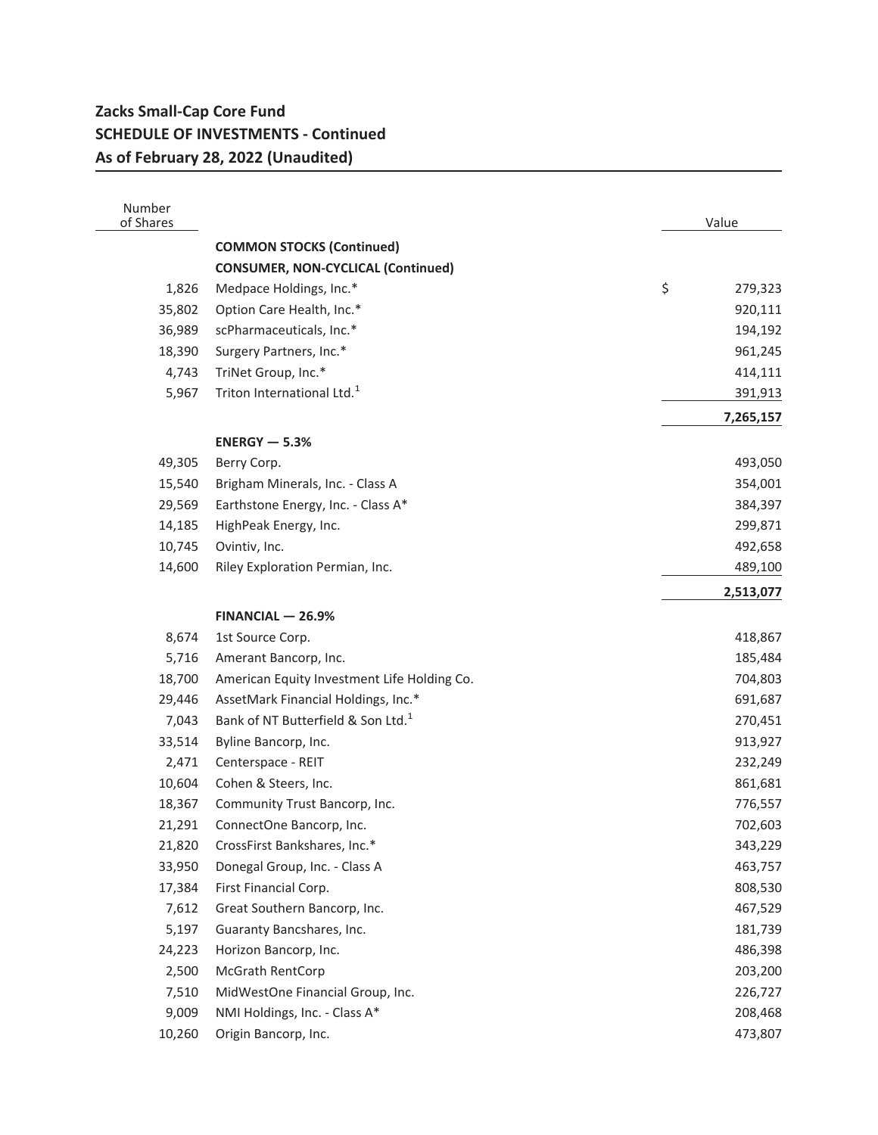## **Zacks Small-Cap Core Fund SCHEDULE OF INVESTMENTS - Continued As of February 28, 2022 (Unaudited)**

| Number<br>of Shares |                                                | Value         |
|---------------------|------------------------------------------------|---------------|
|                     | <b>COMMON STOCKS (Continued)</b>               |               |
|                     | <b>CONSUMER, NON-CYCLICAL (Continued)</b>      |               |
| 1,826               | Medpace Holdings, Inc.*                        | \$<br>279,323 |
| 35,802              | Option Care Health, Inc.*                      | 920,111       |
| 36,989              | scPharmaceuticals, Inc.*                       | 194,192       |
| 18,390              | Surgery Partners, Inc.*                        | 961,245       |
| 4,743               | TriNet Group, Inc.*                            | 414,111       |
| 5,967               | Triton International Ltd. <sup>1</sup>         | 391,913       |
|                     |                                                | 7,265,157     |
|                     |                                                |               |
|                     | $ENERGY - 5.3%$                                |               |
| 49,305              | Berry Corp.                                    | 493,050       |
| 15,540              | Brigham Minerals, Inc. - Class A               | 354,001       |
| 29,569              | Earthstone Energy, Inc. - Class A*             | 384,397       |
| 14,185              | HighPeak Energy, Inc.                          | 299,871       |
| 10,745              | Ovintiv, Inc.                                  | 492,658       |
| 14,600              | Riley Exploration Permian, Inc.                | 489,100       |
|                     |                                                | 2,513,077     |
|                     | $FINANCIAL - 26.9%$                            |               |
| 8,674               | 1st Source Corp.                               | 418,867       |
| 5,716               | Amerant Bancorp, Inc.                          | 185,484       |
| 18,700              | American Equity Investment Life Holding Co.    | 704,803       |
| 29,446              | AssetMark Financial Holdings, Inc.*            | 691,687       |
| 7,043               | Bank of NT Butterfield & Son Ltd. <sup>1</sup> | 270,451       |
| 33,514              | Byline Bancorp, Inc.                           | 913,927       |
| 2,471               | Centerspace - REIT                             | 232,249       |
| 10,604              | Cohen & Steers, Inc.                           | 861,681       |
| 18,367              | Community Trust Bancorp, Inc.                  | 776,557       |
| 21,291              | ConnectOne Bancorp, Inc.                       | 702,603       |
|                     | 21,820 CrossFirst Bankshares, Inc.*            | 343,229       |
| 33,950              | Donegal Group, Inc. - Class A                  | 463,757       |
| 17,384              | First Financial Corp.                          | 808,530       |
| 7,612               | Great Southern Bancorp, Inc.                   | 467,529       |
| 5,197               | Guaranty Bancshares, Inc.                      | 181,739       |
| 24,223              | Horizon Bancorp, Inc.                          | 486,398       |
| 2,500               | McGrath RentCorp                               | 203,200       |
| 7,510               | MidWestOne Financial Group, Inc.               | 226,727       |
| 9,009               | NMI Holdings, Inc. - Class A*                  | 208,468       |
| 10,260              | Origin Bancorp, Inc.                           | 473,807       |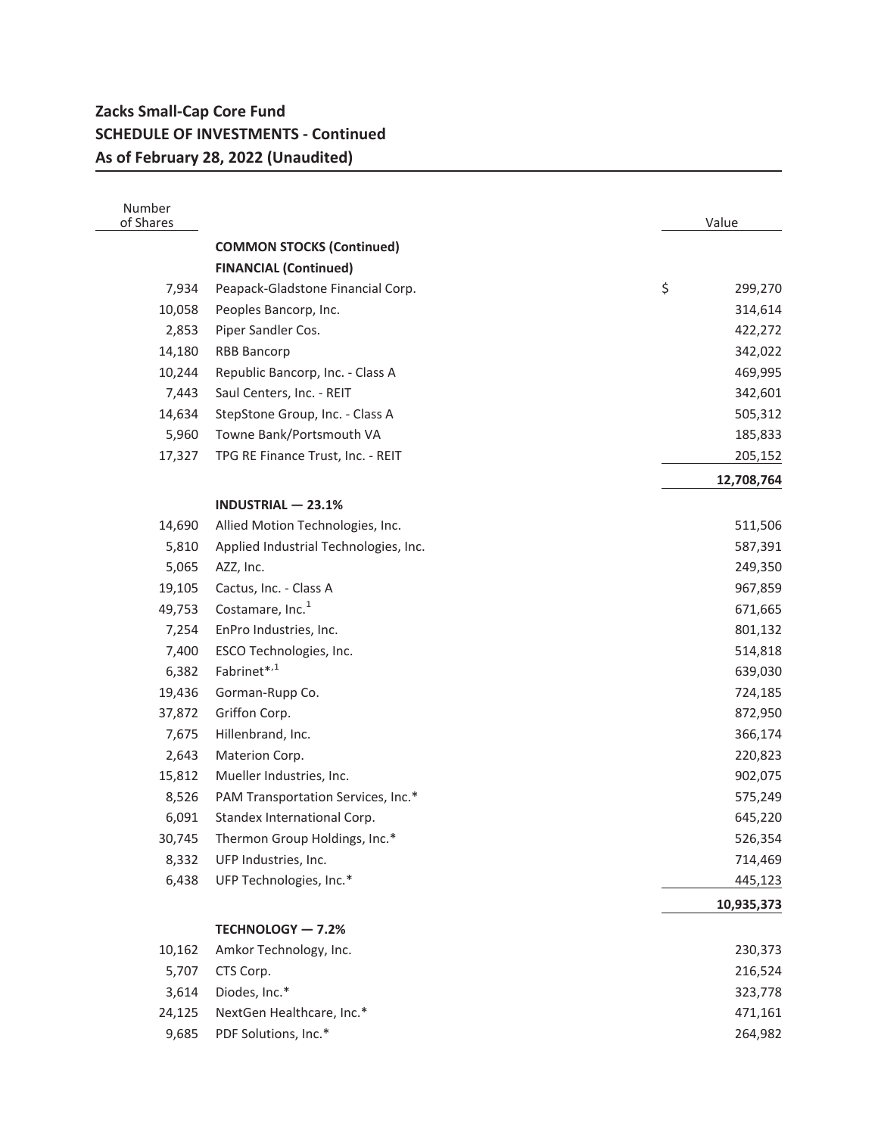## **Zacks Small-Cap Core Fund SCHEDULE OF INVESTMENTS - Continued As of February 28, 2022 (Unaudited)**

| Number<br>of Shares |                                       | Value         |
|---------------------|---------------------------------------|---------------|
|                     | <b>COMMON STOCKS (Continued)</b>      |               |
|                     | <b>FINANCIAL (Continued)</b>          |               |
| 7,934               | Peapack-Gladstone Financial Corp.     | \$<br>299,270 |
| 10,058              | Peoples Bancorp, Inc.                 | 314,614       |
| 2,853               | Piper Sandler Cos.                    | 422,272       |
| 14,180              | <b>RBB Bancorp</b>                    | 342,022       |
| 10,244              | Republic Bancorp, Inc. - Class A      | 469,995       |
| 7,443               | Saul Centers, Inc. - REIT             | 342,601       |
| 14,634              | StepStone Group, Inc. - Class A       | 505,312       |
| 5,960               | Towne Bank/Portsmouth VA              | 185,833       |
| 17,327              | TPG RE Finance Trust, Inc. - REIT     | 205,152       |
|                     |                                       | 12,708,764    |
|                     | <b>INDUSTRIAL - 23.1%</b>             |               |
| 14,690              | Allied Motion Technologies, Inc.      | 511,506       |
| 5,810               | Applied Industrial Technologies, Inc. | 587,391       |
| 5,065               | AZZ, Inc.                             | 249,350       |
| 19,105              | Cactus, Inc. - Class A                | 967,859       |
| 49,753              | Costamare, Inc. <sup>1</sup>          | 671,665       |
| 7,254               | EnPro Industries, Inc.                | 801,132       |
| 7,400               | ESCO Technologies, Inc.               | 514,818       |
| 6,382               | Fabrinet*,1                           | 639,030       |
| 19,436              | Gorman-Rupp Co.                       | 724,185       |
| 37,872              | Griffon Corp.                         | 872,950       |
| 7,675               | Hillenbrand, Inc.                     | 366,174       |
| 2,643               | Materion Corp.                        | 220,823       |
| 15,812              | Mueller Industries, Inc.              | 902,075       |
| 8,526               | PAM Transportation Services, Inc.*    | 575,249       |
| 6,091               | Standex International Corp.           | 645,220       |
| 30,745              | Thermon Group Holdings, Inc.*         | 526,354       |
| 8,332               | UFP Industries, Inc.                  | 714,469       |
| 6,438               | UFP Technologies, Inc.*               | 445,123       |
|                     |                                       | 10,935,373    |
|                     | TECHNOLOGY - 7.2%                     |               |
| 10,162              | Amkor Technology, Inc.                | 230,373       |
| 5,707               | CTS Corp.                             | 216,524       |
| 3,614               | Diodes, Inc.*                         | 323,778       |
| 24,125              | NextGen Healthcare, Inc.*             | 471,161       |
| 9,685               | PDF Solutions, Inc.*                  | 264,982       |